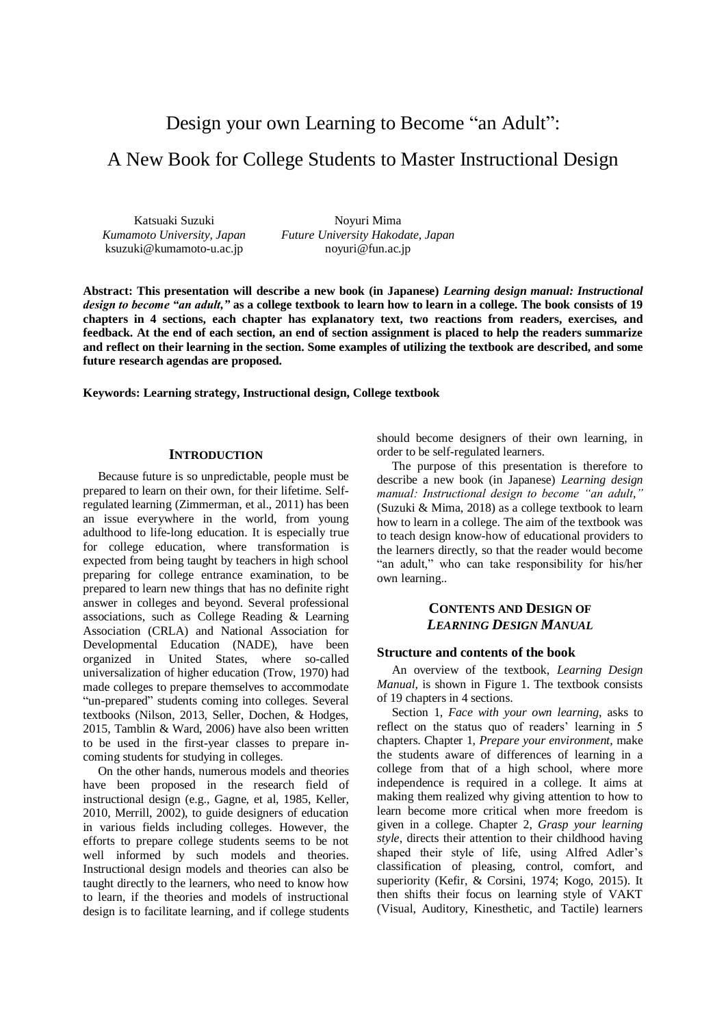# Design your own Learning to Become "an Adult":

# A New Book for College Students to Master Instructional Design

Katsuaki Suzuki *Kumamoto University, Japan* ksuzuki@kumamoto-u.ac.jp

Noyuri Mima *Future University Hakodate, Japan* noyuri@fun.ac.jp

**Abstract: This presentation will describe a new book (in Japanese)** *Learning design manual: Instructional design to become "an adult,"* **as a college textbook to learn how to learn in a college. The book consists of 19 chapters in 4 sections, each chapter has explanatory text, two reactions from readers, exercises, and feedback. At the end of each section, an end of section assignment is placed to help the readers summarize and reflect on their learning in the section. Some examples of utilizing the textbook are described, and some future research agendas are proposed.**

**Keywords: Learning strategy, Instructional design, College textbook**

#### **INTRODUCTION**

Because future is so unpredictable, people must be prepared to learn on their own, for their lifetime. Selfregulated learning (Zimmerman, et al., 2011) has been an issue everywhere in the world, from young adulthood to life-long education. It is especially true for college education, where transformation is expected from being taught by teachers in high school preparing for college entrance examination, to be prepared to learn new things that has no definite right answer in colleges and beyond. Several professional associations, such as College Reading & Learning Association (CRLA) and National Association for Developmental Education (NADE), have been organized in United States, where so-called universalization of higher education (Trow, 1970) had made colleges to prepare themselves to accommodate "un-prepared" students coming into colleges. Several textbooks (Nilson, 2013, Seller, Dochen, & Hodges, 2015, Tamblin & Ward, 2006) have also been written to be used in the first-year classes to prepare incoming students for studying in colleges.

On the other hands, numerous models and theories have been proposed in the research field of instructional design (e.g., Gagne, et al, 1985, Keller, 2010, Merrill, 2002), to guide designers of education in various fields including colleges. However, the efforts to prepare college students seems to be not well informed by such models and theories. Instructional design models and theories can also be taught directly to the learners, who need to know how to learn, if the theories and models of instructional design is to facilitate learning, and if college students should become designers of their own learning, in order to be self-regulated learners.

The purpose of this presentation is therefore to describe a new book (in Japanese) *Learning design manual: Instructional design to become "an adult*,*"* (Suzuki & Mima, 2018) as a college textbook to learn how to learn in a college. The aim of the textbook was to teach design know-how of educational providers to the learners directly, so that the reader would become "an adult," who can take responsibility for his/her own learning..

# **CONTENTS AND DESIGN OF** *LEARNING DESIGN MANUAL*

#### **Structure and contents of the book**

An overview of the textbook, *Learning Design Manual,* is shown in Figure 1. The textbook consists of 19 chapters in 4 sections.

Section 1, *Face with your own learning*, asks to reflect on the status quo of readers' learning in 5 chapters. Chapter 1, *Prepare your environment*, make the students aware of differences of learning in a college from that of a high school, where more independence is required in a college. It aims at making them realized why giving attention to how to learn become more critical when more freedom is given in a college. Chapter 2, *Grasp your learning style*, directs their attention to their childhood having shaped their style of life, using Alfred Adler's classification of pleasing, control, comfort, and superiority (Kefir, & Corsini, 1974; Kogo, 2015). It then shifts their focus on learning style of VAKT (Visual, Auditory, Kinesthetic, and Tactile) learners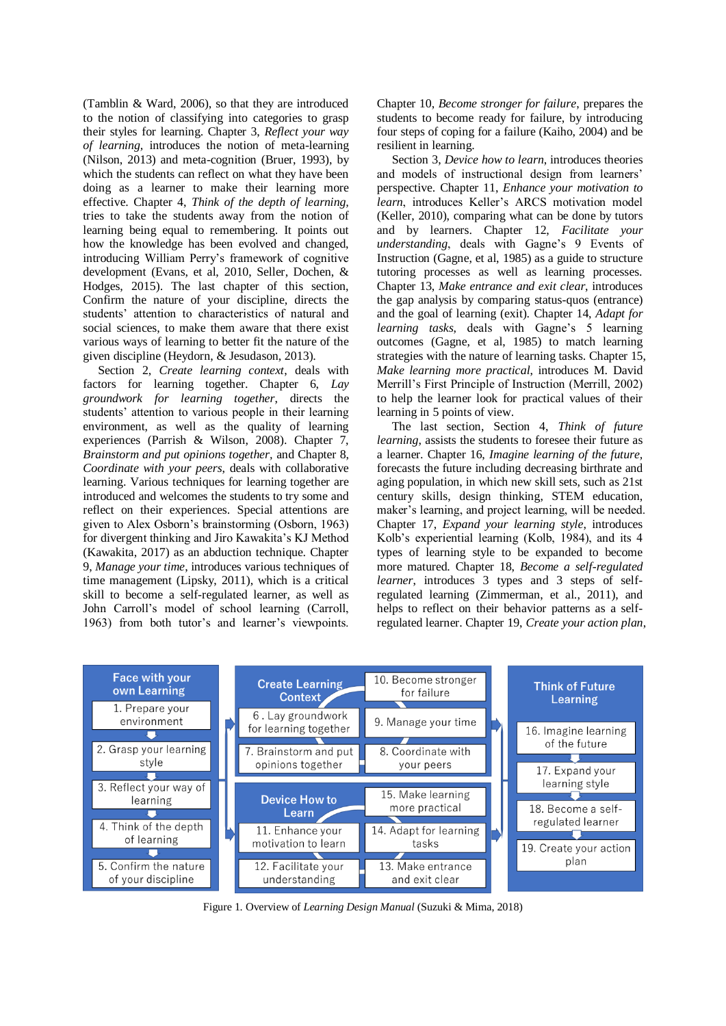(Tamblin & Ward, 2006), so that they are introduced to the notion of classifying into categories to grasp their styles for learning. Chapter 3, *Reflect your way of learning,* introduces the notion of meta-learning (Nilson, 2013) and meta-cognition (Bruer, 1993), by which the students can reflect on what they have been doing as a learner to make their learning more effective. Chapter 4, *Think of the depth of learning,* tries to take the students away from the notion of learning being equal to remembering. It points out how the knowledge has been evolved and changed, introducing William Perry's framework of cognitive development (Evans, et al, 2010, Seller, Dochen, & Hodges, 2015). The last chapter of this section, Confirm the nature of your discipline, directs the students' attention to characteristics of natural and social sciences, to make them aware that there exist various ways of learning to better fit the nature of the given discipline (Heydorn, & Jesudason, 2013).

Section 2, *Create learning context*, deals with factors for learning together. Chapter 6, *Lay groundwork for learning together*, directs the students' attention to various people in their learning environment, as well as the quality of learning experiences (Parrish & Wilson, 2008). Chapter 7, *Brainstorm and put opinions together,* and Chapter 8, *Coordinate with your peers*, deals with collaborative learning. Various techniques for learning together are introduced and welcomes the students to try some and reflect on their experiences. Special attentions are given to Alex Osborn's brainstorming (Osborn, 1963) for divergent thinking and Jiro Kawakita's KJ Method (Kawakita, 2017) as an abduction technique. Chapter 9, *Manage your time*, introduces various techniques of time management (Lipsky, 2011), which is a critical skill to become a self-regulated learner, as well as John Carroll's model of school learning (Carroll, 1963) from both tutor's and learner's viewpoints.

Chapter 10, *Become stronger for failure*, prepares the students to become ready for failure, by introducing four steps of coping for a failure (Kaiho, 2004) and be resilient in learning.

Section 3, *Device how to learn*, introduces theories and models of instructional design from learners' perspective. Chapter 11, *Enhance your motivation to learn*, introduces Keller's ARCS motivation model (Keller, 2010), comparing what can be done by tutors and by learners. Chapter 12, *Facilitate your understanding*, deals with Gagne's 9 Events of Instruction (Gagne, et al, 1985) as a guide to structure tutoring processes as well as learning processes. Chapter 13, *Make entrance and exit clear*, introduces the gap analysis by comparing status-quos (entrance) and the goal of learning (exit). Chapter 14, *Adapt for learning tasks*, deals with Gagne's 5 learning outcomes (Gagne, et al, 1985) to match learning strategies with the nature of learning tasks. Chapter 15, *Make learning more practical*, introduces M. David Merrill's First Principle of Instruction (Merrill, 2002) to help the learner look for practical values of their learning in 5 points of view.

The last section, Section 4, *Think of future learning*, assists the students to foresee their future as a learner. Chapter 16, *Imagine learning of the future,* forecasts the future including decreasing birthrate and aging population, in which new skill sets, such as 21st century skills, design thinking, STEM education, maker's learning, and project learning, will be needed. Chapter 17, *Expand your learning style*, introduces Kolb's experiential learning (Kolb, 1984), and its 4 types of learning style to be expanded to become more matured. Chapter 18, *Become a self-regulated learner*, introduces 3 types and 3 steps of selfregulated learning (Zimmerman, et al., 2011), and helps to reflect on their behavior patterns as a selfregulated learner. Chapter 19, *Create your action plan*,



Figure 1. Overview of *Learning Design Manual* (Suzuki & Mima, 2018)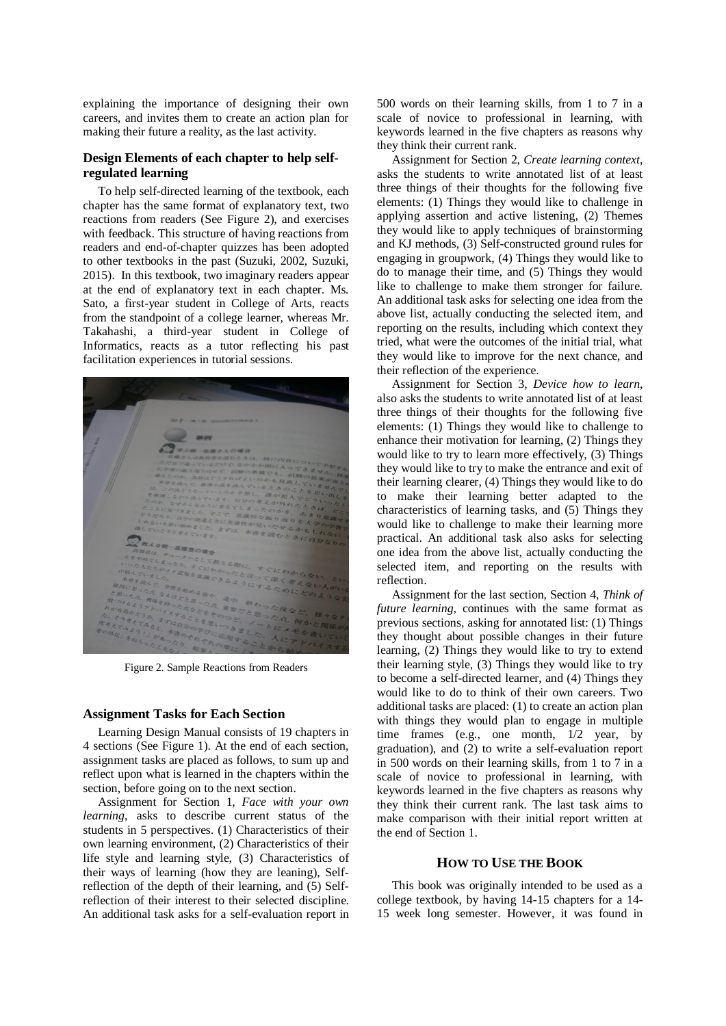explaining the importance of designing their own careers, and invites them to create an action plan for making their future a reality, as the last activity.

### **Design Elements of each chapter to help selfregulated learning**

To help self-directed learning of the textbook, each chapter has the same format of explanatory text, two reactions from readers (See Figure 2), and exercises with feedback. This structure of having reactions from readers and end-of-chapter quizzes has been adopted to other textbooks in the past (Suzuki, 2002, Suzuki, 2015). In this textbook, two imaginary readers appear at the end of explanatory text in each chapter. Ms. Sato, a first-year student in College of Arts, reacts from the standpoint of a college learner, whereas Mr. Takahashi, a third-year student in College of Informatics, reacts as a tutor reflecting his past facilitation experiences in tutorial sessions.



Figure 2. Sample Reactions from Readers

### **Assignment Tasks for Each Section**

Learning Design Manual consists of 19 chapters in 4 sections (See Figure 1). At the end of each section, assignment tasks are placed as follows, to sum up and reflect upon what is learned in the chapters within the section, before going on to the next section.

Assignment for Section 1, *Face with your own learning*, asks to describe current status of the students in 5 perspectives. (1) Characteristics of their own learning environment, (2) Characteristics of their life style and learning style, (3) Characteristics of their ways of learning (how they are leaning), Selfreflection of the depth of their learning, and (5) Selfreflection of their interest to their selected discipline. An additional task asks for a self-evaluation report in 500 words on their learning skills, from 1 to 7 in a scale of novice to professional in learning, with keywords learned in the five chapters as reasons why they think their current rank.

Assignment for Section 2, *Create learning context*, asks the students to write annotated list of at least three things of their thoughts for the following five elements: (1) Things they would like to challenge in applying assertion and active listening, (2) Themes they would like to apply techniques of brainstorming and KJ methods, (3) Self-constructed ground rules for engaging in groupwork, (4) Things they would like to do to manage their time, and (5) Things they would like to challenge to make them stronger for failure. An additional task asks for selecting one idea from the above list, actually conducting the selected item, and reporting on the results, including which context they tried, what were the outcomes of the initial trial, what they would like to improve for the next chance, and their reflection of the experience.

Assignment for Section 3, *Device how to learn*, also asks the students to write annotated list of at least three things of their thoughts for the following five elements: (1) Things they would like to challenge to enhance their motivation for learning, (2) Things they would like to try to learn more effectively, (3) Things they would like to try to make the entrance and exit of their learning clearer, (4) Things they would like to do to make their learning better adapted to the characteristics of learning tasks, and (5) Things they would like to challenge to make their learning more practical. An additional task also asks for selecting one idea from the above list, actually conducting the selected item, and reporting on the results with reflection.

Assignment for the last section, Section 4, *Think of future learning*, continues with the same format as previous sections, asking for annotated list: (1) Things they thought about possible changes in their future learning, (2) Things they would like to try to extend their learning style, (3) Things they would like to try to become a self-directed learner, and (4) Things they would like to do to think of their own careers. Two additional tasks are placed: (1) to create an action plan with things they would plan to engage in multiple time frames (e.g., one month, 1/2 year, by graduation), and (2) to write a self-evaluation report in 500 words on their learning skills, from 1 to 7 in a scale of novice to professional in learning, with keywords learned in the five chapters as reasons why they think their current rank. The last task aims to make comparison with their initial report written at the end of Section 1.

## **HOW TO USE THE BOOK**

This book was originally intended to be used as a college textbook, by having 14-15 chapters for a 14- 15 week long semester. However, it was found in